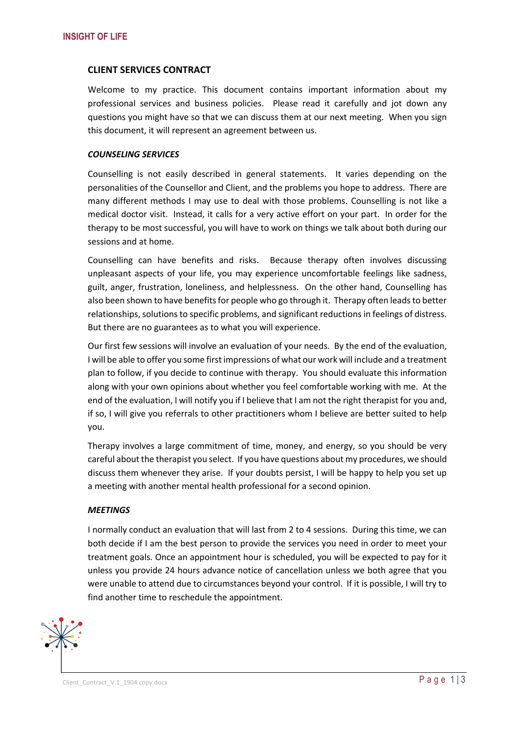# **CLIENT SERVICES CONTRACT**

Welcome to my practice. This document contains important information about my professional services and business policies. Please read it carefully and jot down any questions you might have so that we can discuss them at our next meeting. When you sign this document, it will represent an agreement between us.

#### *COUNSELING SERVICES*

Counselling is not easily described in general statements. It varies depending on the personalities of the Counsellor and Client, and the problems you hope to address. There are many different methods I may use to deal with those problems. Counselling is not like a medical doctor visit. Instead, it calls for a very active effort on your part. In order for the therapy to be most successful, you will have to work on things we talk about both during our sessions and at home.

Counselling can have benefits and risks. Because therapy often involves discussing unpleasant aspects of your life, you may experience uncomfortable feelings like sadness, guilt, anger, frustration, loneliness, and helplessness. On the other hand, Counselling has also been shown to have benefits for people who go through it. Therapy often leads to better relationships, solutions to specific problems, and significant reductions in feelings of distress. But there are no guarantees as to what you will experience.

Our first few sessions will involve an evaluation of your needs. By the end of the evaluation, I will be able to offer you some first impressions of what our work will include and a treatment plan to follow, if you decide to continue with therapy. You should evaluate this information along with your own opinions about whether you feel comfortable working with me. At the end of the evaluation, I will notify you if I believe that I am not the right therapist for you and, if so, I will give you referrals to other practitioners whom I believe are better suited to help you.

Therapy involves a large commitment of time, money, and energy, so you should be very careful about the therapist you select. If you have questions about my procedures, we should discuss them whenever they arise. If your doubts persist, I will be happy to help you set up a meeting with another mental health professional for a second opinion.

#### *MEETINGS*

I normally conduct an evaluation that will last from 2 to 4 sessions. During this time, we can both decide if I am the best person to provide the services you need in order to meet your treatment goals. Once an appointment hour is scheduled, you will be expected to pay for it unless you provide 24 hours advance notice of cancellation unless we both agree that you were unable to attend due to circumstances beyond your control. If it is possible, I will try to find another time to reschedule the appointment.



Client\_Contract\_V.1\_1904 copy.docx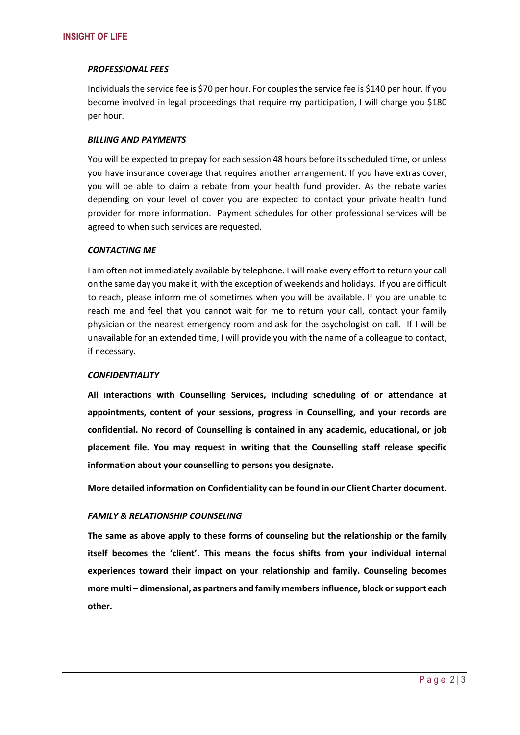# *PROFESSIONAL FEES*

Individuals the service fee is \$70 per hour. For couples the service fee is \$140 per hour. If you become involved in legal proceedings that require my participation, I will charge you \$180 per hour.

## *BILLING AND PAYMENTS*

You will be expected to prepay for each session 48 hours before its scheduled time, or unless you have insurance coverage that requires another arrangement. If you have extras cover, you will be able to claim a rebate from your health fund provider. As the rebate varies depending on your level of cover you are expected to contact your private health fund provider for more information. Payment schedules for other professional services will be agreed to when such services are requested.

# *CONTACTING ME*

I am often not immediately available by telephone. I will make every effort to return your call on the same day you make it, with the exception of weekends and holidays. If you are difficult to reach, please inform me of sometimes when you will be available. If you are unable to reach me and feel that you cannot wait for me to return your call, contact your family physician or the nearest emergency room and ask for the psychologist on call. If I will be unavailable for an extended time, I will provide you with the name of a colleague to contact, if necessary.

# *CONFIDENTIALITY*

**All interactions with Counselling Services, including scheduling of or attendance at appointments, content of your sessions, progress in Counselling, and your records are confidential. No record of Counselling is contained in any academic, educational, or job placement file. You may request in writing that the Counselling staff release specific information about your counselling to persons you designate.**

**More detailed information on Confidentiality can be found in our Client Charter document.**

# *FAMILY & RELATIONSHIP COUNSELING*

**The same as above apply to these forms of counseling but the relationship or the family itself becomes the 'client'. This means the focus shifts from your individual internal experiences toward their impact on your relationship and family. Counseling becomes more multi – dimensional, as partners and family members influence, block or support each other.**